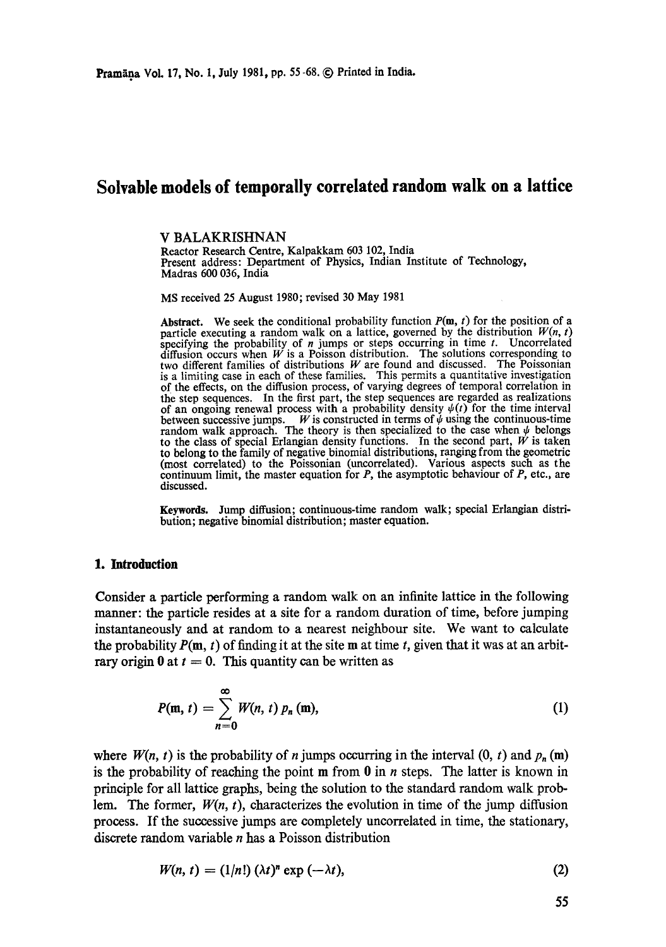# **Solvable models of temporally correlated random walk on a lattice**

**V BALAKRISHNAN** 

Reactor Research Centre, Kalpakkam 603 102, India Present address: Department of Physics, Indian Institute of Technology, Madras 600 036, India

MS received 25 August 1980; revised 30 May 1981

**Abstract.** We seek the conditional probability function  $P(\mathbf{m}, t)$  for the position of a particle executing a random walk on a lattice, governed by the distribution  $W(n, t)$ specifying the probability of  $n$  jumps or steps occurring in time  $t$ . Uncorrelated diffusion occurs when  $W$  is a Poisson distribution. The solutions corresponding to two different families of distributions  $W$  are found and discussed. The Poissonian is a limiting case in each of these families. This permits a quantitative investigation of the effects, on the diffusion process, of varying degrees of temporal correlation in the step sequences. In the first part, the step sequences are regarded as realizations of an ongoing renewal process with a probability density  $\psi(t)$  for the time interval between successive jumps. W is constructed in terms of  $\psi$  using the continuous-time random walk approach. The theory is then specialized to the case when  $\psi$  belongs to the class of special Erlangian density functions. In the second part,  $W$  is taken to belong to the family of negative binomial distributions, ranging from the geometric (most correlated) to the Poissonian (uncorrelated). Various aspects such as the continuum limit, the master equation for  $P$ , the asymptotic behaviour of  $P$ , etc., are discussed.

**Keywords.** Jump diffusion; continuous-time random walk; special Erlangian distribution; negative binomial distribution; master equation.

#### **1. Introduction**

Consider a particle performing a random walk on an infinite lattice in the following manner: the particle resides at a site for a random duration of time, before jumping instantaneously and at random to a nearest neighbour site. We want to calculate the probability  $P(m, t)$  of finding it at the site m at time t, given that it was at an arbitrary origin 0 at  $t = 0$ . This quantity can be written as

$$
P(\mathbf{m}, t) = \sum_{n=0}^{\infty} W(n, t) p_n(\mathbf{m}), \qquad (1)
$$

where  $W(n, t)$  is the probability of n jumps occurring in the interval  $(0, t)$  and  $p_n(m)$ is the probability of reaching the point  $m$  from 0 in *n* steps. The latter is known in principle for all lattice graphs, being the solution to the standard random walk problem. The former,  $W(n, t)$ , characterizes the evolution in time of the jump diffusion process. If the successive jumps are completely uneorrelated in time, the stationary, discrete random variable  $n$  has a Poisson distribution

$$
W(n, t) = (1/n!) (\lambda t)^n \exp(-\lambda t), \qquad (2)
$$

55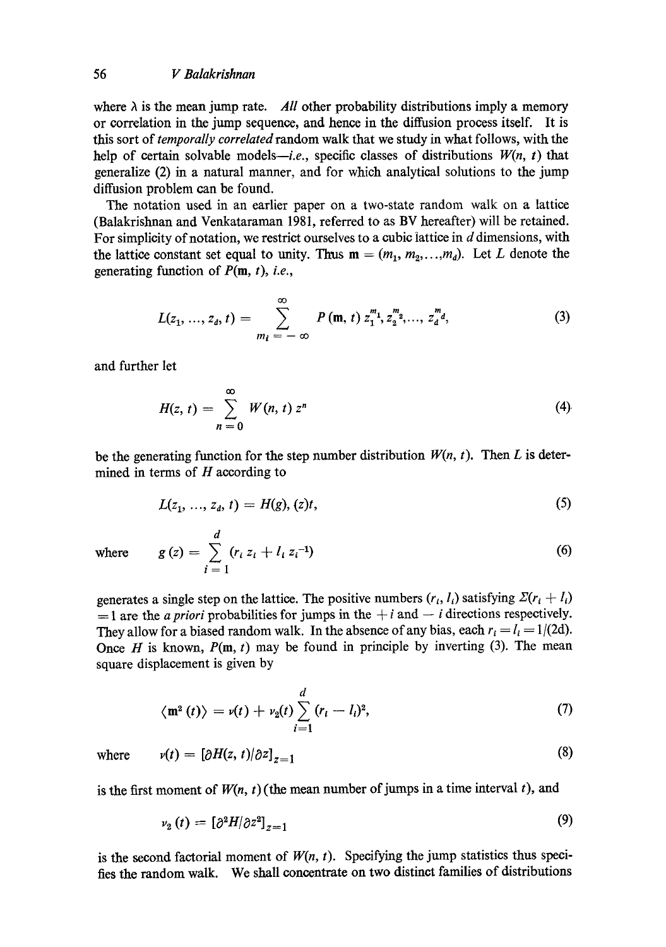where  $\lambda$  is the mean jump rate. *All* other probability distributions imply a memory or correlation in the jump sequence, and hence in the diffusion process itself. It is this sort of *temporally correlated* random walk that we study in what follows, with the help of certain solvable models-*i.e.*, specific classes of distributions  $W(n, t)$  that generalize (2) in a natural manner, and for which analytical solutions to the jump diffusion problem can be found.

The notation used in an earlier paper on a two-state random walk on a lattice (Balakrishnan and Venkataraman 1981, referred to as BV hereafter) will be retained. For simplicity of notation, we restrict ourselves to a cubic lattice in d dimensions, with the lattice constant set equal to unity. Thus  $m = (m_1, m_2, \ldots, m_d)$ . Let L denote the generating function of P(m, *t), i.e.,* 

$$
L(z_1, ..., z_d, t) = \sum_{m_l = -\infty}^{\infty} P(m, t) z_1^{m_1} z_2^{m_2} , ..., z_d^{m_d}, \qquad (3)
$$

and further let

$$
H(z, t) = \sum_{n=0}^{\infty} W(n, t) z^{n}
$$
 (4)

be the generating function for the step number distribution  $W(n, t)$ . Then L is determined in terms of  $H$  according to

$$
L(z_1, ..., z_d, t) = H(g), (z)t,
$$
\n(5)

where 
$$
g(z) = \sum_{i=1}^{d} (r_i z_i + l_i z_i^{-1})
$$
 (6)

generates a single step on the lattice. The positive numbers  $(r_i, l_i)$  satisfying  $\mathcal{Z}(r_i + l_i)$  $=$  1 are the *a priori* probabilities for jumps in the  $+i$  and  $-i$  directions respectively. They allow for a biased random walk. In the absence of any bias, each  $r_i = l_i = 1/(2d)$ . Once H is known,  $P(m, t)$  may be found in principle by inverting (3). The mean square displacement is given by

$$
\langle \mathbf{m}^2(t) \rangle = v(t) + v_2(t) \sum_{i=1}^d (r_i - l_i)^2,
$$
\n(7)

where 
$$
v(t) = [\partial H(z, t) / \partial z]_{z=1}
$$
 (8)

is the first moment of  $W(n, t)$  (the mean number of jumps in a time interval t), and

$$
\nu_2(t) = \left[\partial^2 H/\partial z^2\right]_{z=1} \tag{9}
$$

is the second factorial moment of  $W(n, t)$ . Specifying the jump statistics thus specifies the random walk. We shall concentrate on two distinct families of distributions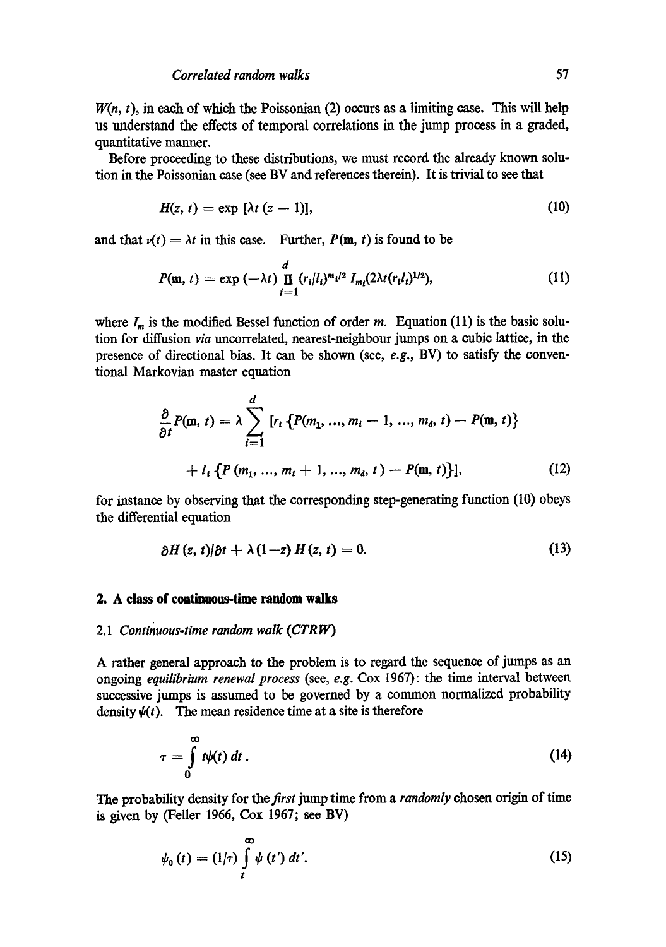$W(n, t)$ , in each of which the Poissonian (2) occurs as a limiting case. This will help us understand the effects of temporal correlations in the jump process in a graded, quantitative manner.

Before proceeding to these distributions, we must record the already known solution in the Poissonian case (see BV and references therein). It is trivial to see that

$$
H(z, t) = \exp\left[\lambda t (z - 1)\right],\tag{10}
$$

and that  $v(t) = \lambda t$  in this case. Further,  $P(m, t)$  is found to be

$$
P(\mathbf{m}, t) = \exp(-\lambda t) \prod_{i=1}^{d} (r_i/l_i)^{m_i/2} I_{m_i}(2\lambda t (r_i l_i)^{1/2}), \qquad (11)
$$

where  $I_m$  is the modified Bessel function of order m. Equation (11) is the basic solution for diffusion *via* unoorrelated, nearest-neighbour jumps on a cubic lattice, in the presence of directional bias. It can be shown (see, *e.g.,* BV) to satisfy the conventional Markovian master equation

$$
\frac{\partial}{\partial t} P(\mathbf{m}, t) = \lambda \sum_{i=1}^{d} [r_i \{ P(m_1, ..., m_i - 1, ..., m_d, t) - P(\mathbf{m}, t) \}
$$

$$
+ l_i \{ P(m_1, ..., m_i + 1, ..., m_d, t) - P(\mathbf{m}, t) \}], \tag{12}
$$

for instance by observing that the corresponding step-generating function (10) obeys the differential equation

$$
\partial H(z, t) \partial t + \lambda (1-z) H(z, t) = 0. \tag{13}
$$

## **2. A class of continuous-time random walks**

## *2.1 Continuous-time random walk (CTRW)*

A rather general approach to the problem is to regard the sequence of jumps as an ongoing *equih'brium renewal process* (see, *e.g.* Cox 1967): the time interval between successive jumps is assumed to be governed by a common normalized probability density  $\psi(t)$ . The mean residence time at a site is therefore

$$
\tau = \int_{0}^{\infty} t \psi(t) dt \,. \tag{14}
$$

The probability density for the *first* jump time from a *randomly* chosen origin of time **is** given by (Feller 1966, Cox 1967; see BV)

$$
\psi_0(t) = (1/\tau) \int\limits_t^\infty \psi(t') dt'.
$$
\n(15)

 $\sim$   $\sim$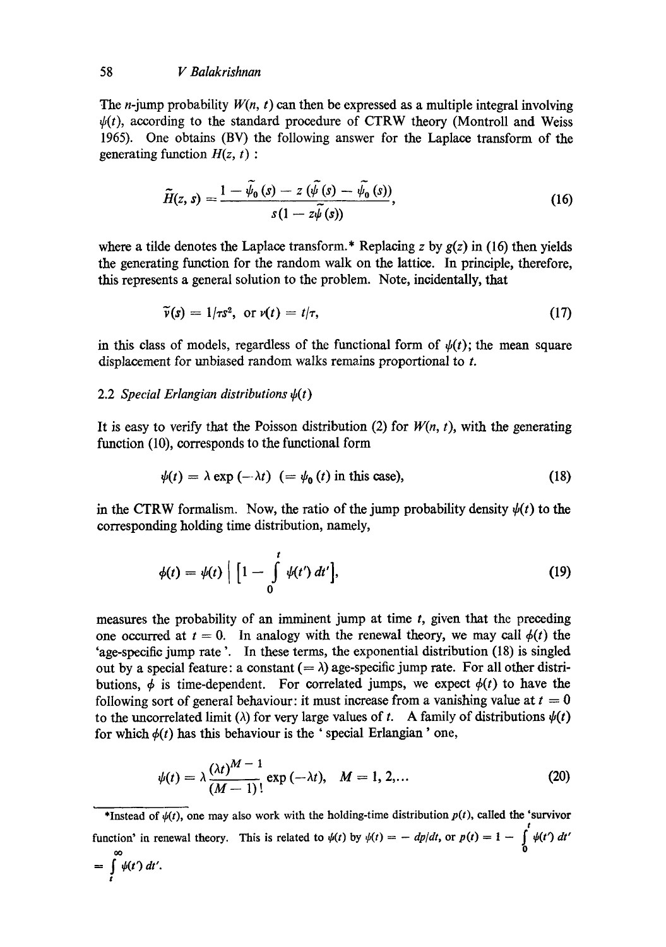The *n*-jump probability  $W(n, t)$  can then be expressed as a multiple integral involving  $\psi(t)$ , according to the standard procedure of CTRW theory (Montroll and Weiss 1965). One obtains (BV) the following answer for the Laplace transform of the generating function *H(z, t) :* 

$$
\widetilde{H}(z, s) = \frac{1 - \widetilde{\psi}_0(s) - z(\widetilde{\psi}(s) - \widetilde{\psi}_0(s))}{s(1 - z\widetilde{\psi}(s))},
$$
\n(16)

where a tilde denotes the Laplace transform.<sup>\*</sup> Replacing z by  $g(z)$  in (16) then yields the generating function for the random walk on the lattice. In principle, therefore, this represents a general solution to the problem. Note, incidentally, that

$$
\widetilde{\nu}(s) = 1/\tau s^2, \text{ or } \nu(t) = t/\tau,
$$
\n(17)

in this class of models, regardless of the functional form of  $\psi(t)$ ; the mean square displacement for unbiased random walks remains proportional to t.

# 2.2 *Special Erlangian distributions*  $\psi(t)$

It is easy to verify that the Poisson distribution (2) for  $W(n, t)$ , with the generating function (10), corresponds to the functional form

$$
\psi(t) = \lambda \exp(-\lambda t) \quad (= \psi_0(t) \text{ in this case}), \tag{18}
$$

in the CTRW formalism. Now, the ratio of the jump probability density  $\psi(t)$  to the corresponding holding time distribution, namely,

$$
\phi(t) = \psi(t) \left[ 1 - \int_{0}^{t} \psi(t') dt' \right],
$$
\n(19)

measures the probability of an imminent jump at time  $t$ , given that the preceding one occurred at  $t = 0$ . In analogy with the renewal theory, we may call  $\phi(t)$  the 'age-specific jump rate '. In these terms, the exponential distribution (18) is singled out by a special feature: a constant  $(=\lambda)$  age-specific jump rate. For all other distributions,  $\phi$  is time-dependent. For correlated jumps, we expect  $\phi(t)$  to have the following sort of general behaviour: it must increase from a vanishing value at  $t = 0$ to the uncorrelated limit ( $\lambda$ ) for very large values of t. A family of distributions  $\psi(t)$ for which  $\phi(t)$  has this behaviour is the 'special Erlangian' one,

$$
\psi(t) = \lambda \frac{(\lambda t)^{M-1}}{(M-1)!} \exp(-\lambda t), \quad M = 1, 2, \dots
$$
 (20)

\*Instead of  $\psi(t)$ , one may also work with the holding-time distribution  $p(t)$ , called the 'survivor t function' in renewal theory. This is related to  $\psi(t)$  by  $\psi(t) = -dp/dt$ , or  $p(t) = 1 - \psi(t') dt'$ 

$$
=\int\limits_t^\infty \psi(t')\,dt'.
$$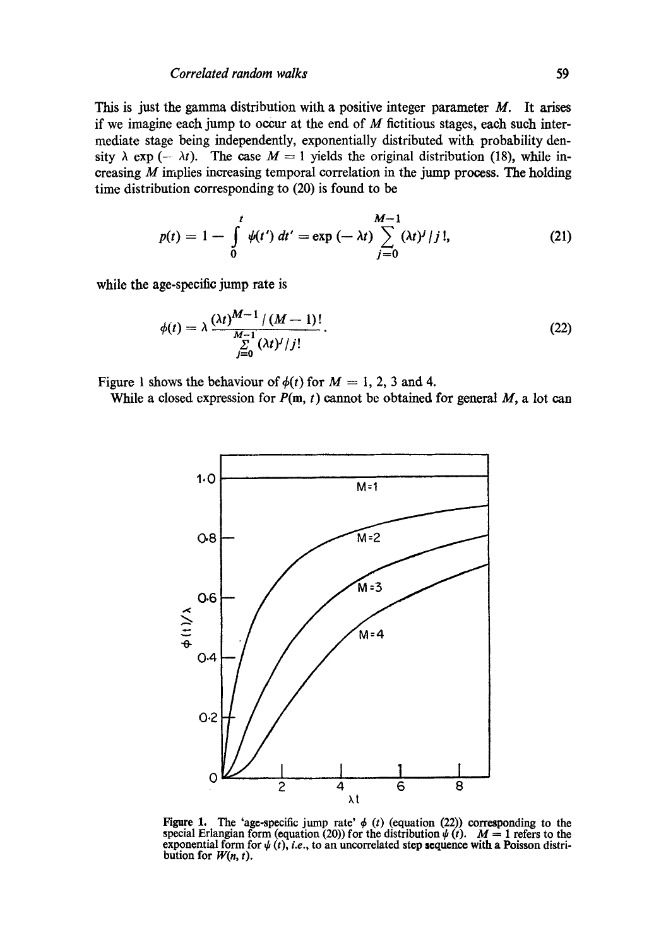## *Correlated random walks* 59

This is just the gamma distribution with a positive integer parameter  $M$ . It arises if we imagine each jump to occur at the end of  $M$  fictitious stages, each such intermediate stage being independently, exponentially distributed with probability density  $\lambda$  exp (-  $\lambda t$ ). The case  $M = 1$  yields the original distribution (18), while increasing  $M$  implies increasing temporal correlation in the jump process. The holding time distribution corresponding to (20) is found to be

$$
p(t) = 1 - \int_{0}^{t} \psi(t') dt' = \exp(-\lambda t) \sum_{j=0}^{M-1} (\lambda t)^{j} / j!,
$$
 (21)

while the age-specific jump rate is

$$
\phi(t) = \lambda \frac{(\lambda t)^{M-1} / (M-1)!}{\sum_{j=0}^{M-1} (\lambda t)^j / j!}.
$$
 (22)

Figure 1 shows the behaviour of  $\phi(t)$  for  $M = 1, 2, 3$  and 4.

While a closed expression for  $P(m, t)$  cannot be obtained for general  $M$ , a lot can



Figure 1. The 'age-specific jump rate'  $\phi$  (t) (equation (22)) corresponding to the special Erlangian form (equation (20)) for the distribution  $\psi(t)$ .  $M = 1$  refers to the exponential form for  $\psi(t)$ , *i.e.*, to an uncorrelated step sequence with a Poisson distribution for  $W(n, t)$ .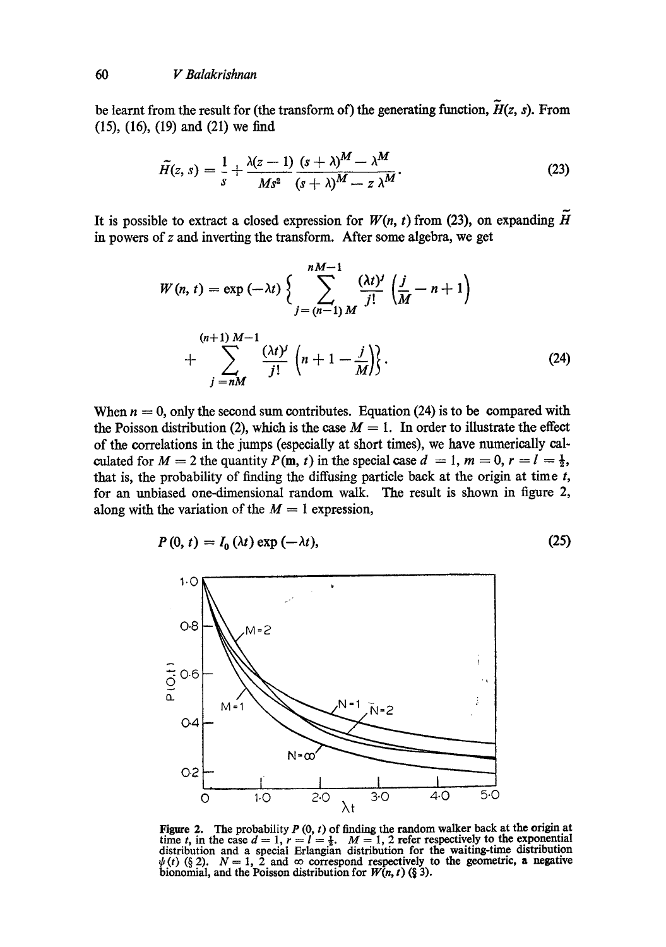be learnt from the result for (the transform of) the generating function,  $H(z, s)$ . From (15), (16), (19) and (21) we find

$$
\widetilde{H}(z, s) = \frac{1}{s} + \frac{\lambda(z-1)}{Ms^2} \frac{(s+\lambda)^M - \lambda^M}{(s+\lambda)^M - z \lambda^M}.
$$
\n(23)

It is possible to extract a closed expression for  $W(n, t)$  from (23), on expanding  $H$ in powers of z and inverting the transform. After some algebra, we get

$$
W(n, t) = \exp(-\lambda t) \left\{ \sum_{j=(n-1) M}^{nM-1} \frac{(\lambda t)^j}{j!} \left( \frac{j}{M} - n + 1 \right) + \sum_{j=nM}^{(n+1) M-1} \left( n + 1 - \frac{j}{M} \right) \right\}.
$$
 (24)

When  $n = 0$ , only the second sum contributes. Equation (24) is to be compared with the Poisson distribution (2), which is the case  $M = 1$ . In order to illustrate the effect of the correlations in the jumps (especially at short times), we have numerically calculated for  $M = 2$  the quantity  $P(\mathbf{m}, t)$  in the special case  $d = 1, m = 0, r = l = \frac{1}{2}$ , that is, the probability of finding the diffusing particle back at the origin at time  $t$ , for an unbiased one-dimensional random walk. The result is shown in figure 2, along with the variation of the  $M = 1$  expression,

$$
P(0, t) = I_0(\lambda t) \exp(-\lambda t), \qquad (25)
$$



Figure 2. The probability P  $(0, t)$  of finding the random walker back at the origin at time t, in the case  $d = 1$ ,  $r = l = \frac{1}{2}$ .  $M = 1$ , 2 refer respectively to the exponential distribution and a special Erlangian distribution for the waiting-time distribution  $\psi(t)$  (§ 2).  $N = 1$ , 2 and  $\infty$  correspond respectively to the geometric, a negative bionomial, and the Poisson distribution for *W(n, t) (§* 3).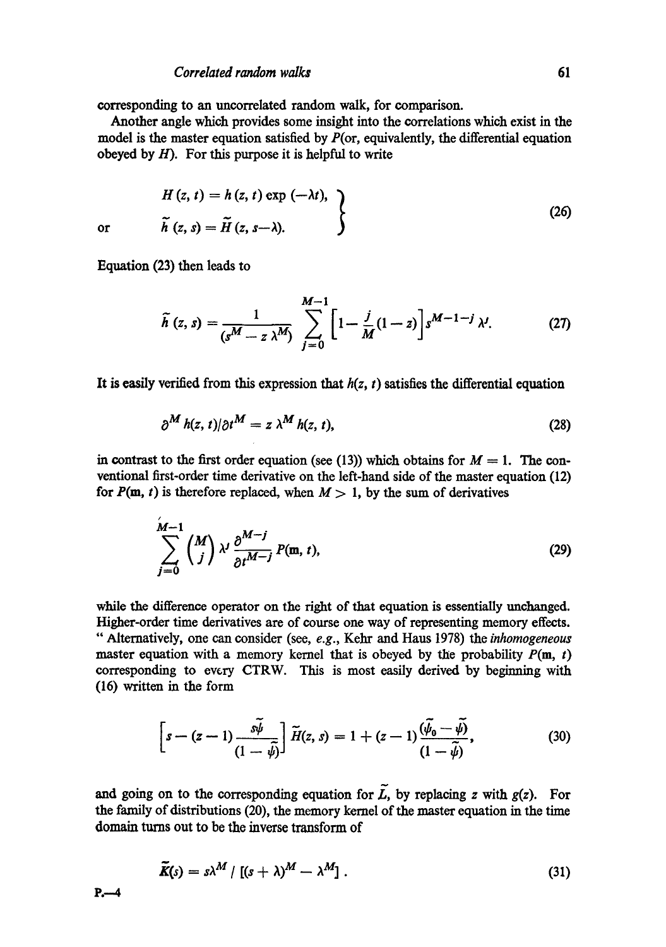#### *Correlated random walks* 61

corresponding to an uncorrelated random walk, for comparison.

Another angle which provides some insight into the correlations which exist in the model is the master equation satisfied by  $P(\text{or, equivalently, the differential equation})$ obeyed by  $H$ ). For this purpose it is helpful to write

$$
H(z, t) = h(z, t) \exp(-\lambda t),
$$
  
\n
$$
\tilde{h}(z, s) = \tilde{H}(z, s-\lambda).
$$
 (26)

or

Equation (23) then leads to

$$
\widetilde{h}(z,s) = \frac{1}{(s^M - z\,\lambda^M)} \sum_{j=0}^{M-1} \left[1 - \frac{j}{M}(1-z)\right] s^{M-1-j} \,\lambda^j. \tag{27}
$$

It is easily verified from this expression that  $h(z, t)$  satisfies the differential equation

$$
\partial^M h(z, t) / \partial t^M = z \lambda^M h(z, t), \qquad (28)
$$

in contrast to the first order equation (see (13)) which obtains for  $M = 1$ . The conventional first-order time derivative on the left-hand side of the master equation (12) for  $P(m, t)$  is therefore replaced, when  $M > 1$ , by the sum of derivatives

$$
\sum_{j=0}^{M-1} {M \choose j} \lambda^j \frac{\partial^{M-j}}{\partial t^{M-j}} P(\mathfrak{m}, t), \qquad (29)
$$

while the difference operator on the right of that equation is essentially unchanged. Higher-order time derivatives are of course one way of representing memory effects. "Alternatively, one can consider (see, *e.g.,* Kehr and Hans 1978) the *inhomogeneous*  master equation with a memory kernel that is obeyed by the probability  $P(m, t)$ corresponding to every CTRW. This is most easily derived by beginning with (16) written in the form

$$
\[s-(z-1)\frac{\tilde{s}\tilde{\psi}}{(1-\tilde{\psi})}\]\ \tilde{H}(z,s)=1+(z-1)\frac{(\tilde{\psi}_0-\tilde{\psi})}{(1-\tilde{\psi})},\tag{30}
$$

and going on to the corresponding equation for  $\widetilde{L}$ , by replacing z with  $g(z)$ . For the family of distributions (20), the memory kernel of the master equation in the time domain turns out to be the inverse transform of

$$
\widetilde{K}(s) = s\lambda^M / [(s+\lambda)^M - \lambda^M]. \qquad (31)
$$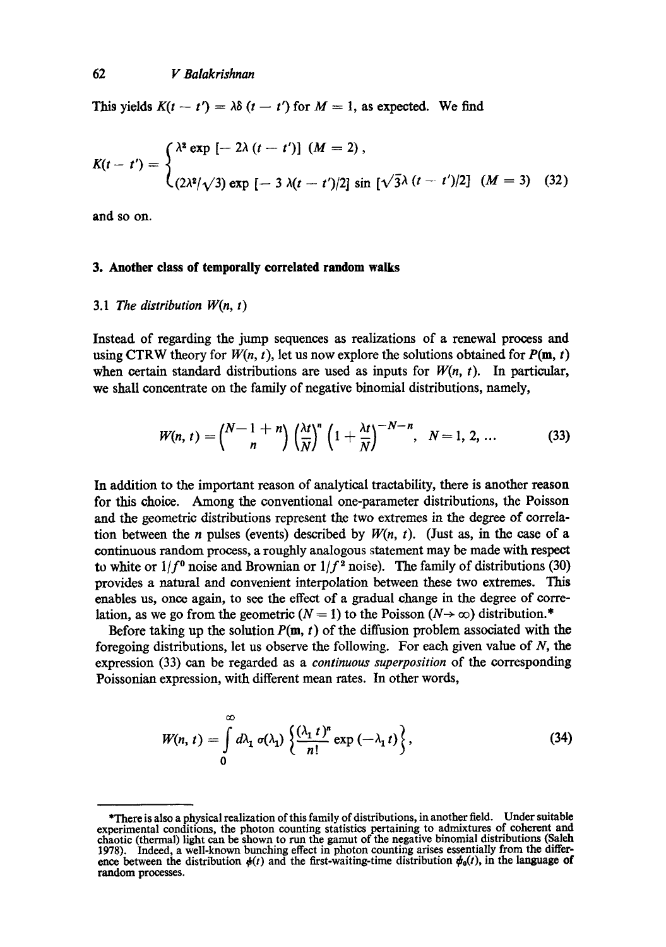This yields  $K(t - t') = \lambda \delta(t - t')$  for  $M = 1$ , as expected. We find

$$
K(t - t') = \begin{cases} \lambda^2 \exp\left[-2\lambda (t - t')\right] (M = 2), \\ (2\lambda^2/\sqrt{3}) \exp\left[-3\lambda (t - t')/2\right] \sin\left[\sqrt{3}\lambda (t - t')/2\right] (M = 3) \end{cases}
$$
 (32)

and so on.

### 3. Another class **of temporally correlated random walks**

# *3.1 The distribution W(n, t)*

Instead of regarding the jump sequences as realizations of a renewal process and using CTRW theory for  $W(n, t)$ , let us now explore the solutions obtained for  $P(\mathbf{m}, t)$ when certain standard distributions are used as inputs for  $W(n, t)$ . In particular, we shall concentrate on the family of negative binomial distributions, namely,

$$
W(n, t) = {N-1+n \choose n} \left(\frac{\lambda t}{N}\right)^n \left(1+\frac{\lambda t}{N}\right)^{-N-n}, \quad N=1, 2, ... \tag{33}
$$

In addition to the important reason of analytical tractability, there is another reason for this choice. Among the conventional one-parameter distributions, the Poisson and the geometric distributions represent the two extremes in the degree of correlation between the *n* pulses (events) described by  $W(n, t)$ . (Just as, in the case of a continuous random process, a roughly analogous statement may be made with respect to white or  $1/f^0$  noise and Brownian or  $1/f^2$  noise). The family of distributions (30) provides a natural and convenient interpolation between these two extremes. This enables us, once again, to see the effect of a gradual change in the degree of correlation, as we go from the geometric  $(N = 1)$  to the Poisson  $(N \rightarrow \infty)$  distribution.\*

Before taking up the solution  $P(m, t)$  of the diffusion problem associated with the foregoing distributions, let us observe the following. For each given value of  $N$ , the expression (33) can be regarded as a *continuous superposition* of the corresponding Poissonian expression, with different mean rates. In other words,

$$
W(n, t) = \int_{0}^{\infty} d\lambda_1 \sigma(\lambda_1) \left\{ \frac{(\lambda_1 t)^n}{n!} \exp(-\lambda_1 t) \right\},
$$
 (34)

<sup>\*</sup>There is also a physical realization of this family of distributions, in another field. Under suitable experimental conditions, the photon counting statistics pertaining to admixtures of coherent and chaotic (thermal) light can be shown to run the gamut of the negative binomial distributions (Saleh 1978). Indeed. a well-known bunching effect in photon counting arises essentially from the differ ence between the distribution  $\phi(t)$  and the first-waiting-time distribution  $\phi_0(t)$ , in the language of random processes.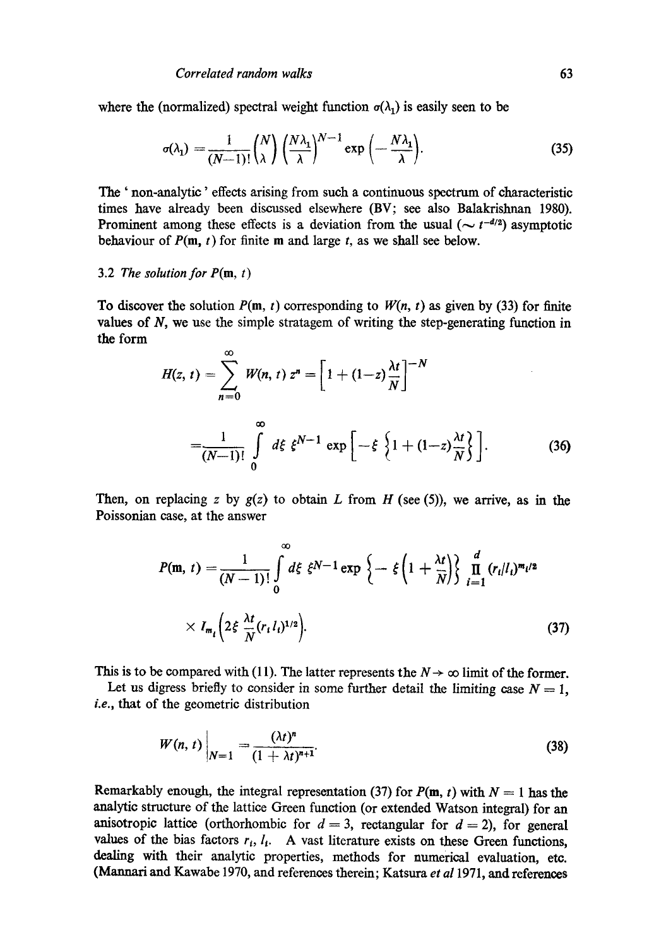where the (normalized) spectral weight function  $\sigma(\lambda_1)$  is easily seen to be

$$
\sigma(\lambda_1) = \frac{1}{(N-1)!} {N \choose \lambda} \left(\frac{N\lambda_1}{\lambda}\right)^{N-1} \exp\left(-\frac{N\lambda_1}{\lambda}\right).
$$
 (35)

The ' non-analytic' effects arising from such a continuous spectrum of characteristic times have already been discussed elsewhere (BV; see also Balakrishnan 1980). Prominent among these effects is a deviation from the usual  $(\sim t^{-d/2})$  asymptotic behaviour of  $P(m, t)$  for finite m and large t, as we shall see below.

#### 3.2 *The solution for*  $P(m, t)$

To discover the solution  $P(m, t)$  corresponding to  $W(n, t)$  as given by (33) for finite values of  $N$ , we use the simple stratagem of writing the step-generating function in the form

$$
H(z, t) = \sum_{n=0}^{\infty} W(n, t) z^{n} = \left[ 1 + (1-z) \frac{\lambda t}{N} \right]^{-N}
$$
  
=  $\frac{1}{(N-1)!} \int_{0}^{\infty} d\xi \xi^{N-1} \exp \left[ -\xi \left\{ 1 + (1-z) \frac{\lambda t}{N} \right\} \right].$  (36)

Then, on replacing z by  $g(z)$  to obtain L from H (see (5)), we arrive, as in the Poissonian case, at the answer

$$
P(\mathbf{m}, t) = \frac{1}{(N-1)!} \int_{0}^{\infty} d\xi \xi^{N-1} \exp \left\{-\xi \left(1 + \frac{\lambda t}{N}\right) \int_{i=1}^{d} \prod_{i=1}^{N} (r_{i}/l_{i})^{m_{i}/2} \right\}
$$
  
 
$$
\times I_{m_{i}} \left(2\xi \frac{\lambda t}{N} (r_{i} l_{i})^{1/2}\right).
$$
 (37)

This is to be compared with (11). The latter represents the  $N \rightarrow \infty$  limit of the former.

Let us digress briefly to consider in some further detail the limiting case  $N = 1$ , *i.e.,* that of the geometric distribution

$$
W(n, t)\Big|_{N=1} = \frac{(\lambda t)^n}{(1 + \lambda t)^{n+1}}.
$$
\n(38)

Remarkably enough, the integral representation (37) for  $P(m, t)$  with  $N = 1$  has the analytic structure of the lattice Green function (or extended Watson integral) for an anisotropic lattice (orthorhombic for  $d = 3$ , rectangular for  $d = 2$ ), for general values of the bias factors  $r_i$ ,  $l_i$ . A vast literature exists on these Green functions, dealing with their analytic properties, methods for numerical evaluation, etc. (Mannari and Kawabe 1970, and references therein; Katsura *et a11971,* and references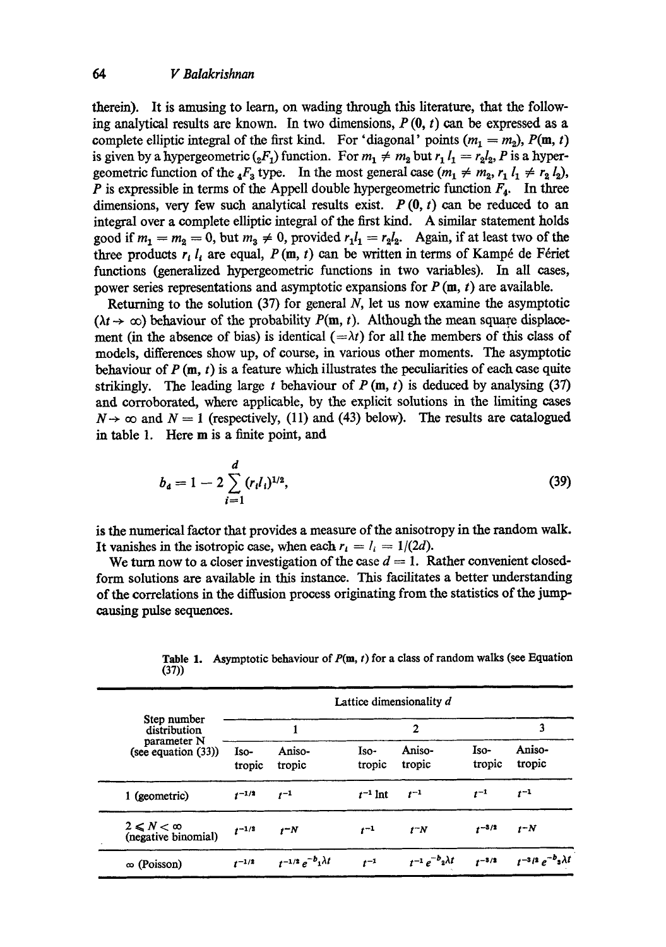therein). It is amusing to learn, on wading through this literature, that the following analytical results are known. In two dimensions,  $P(0, t)$  can be expressed as a complete elliptic integral of the first kind. For 'diagonal' points  $(m_1 = m_2)$ ,  $P(m, t)$ is given by a hypergeometric  $(_2F_1)$  function. For  $m_1 \neq m_2$  but  $r_1 l_1 = r_2 l_2$ , P is a hypergeometric function of the  $_4F_3$  type. In the most general case  $(m_1 \neq m_2, r_1 l_1 \neq r_2 l_2)$ , P is expressible in terms of the Appell double hypergeometric function  $F_4$ . In three dimensions, very few such analytical results exist.  $P(0, t)$  can be reduced to an integral over a complete elliptic integral of the first kind. A similar statement holds good if  $m_1 = m_2 = 0$ , but  $m_3 \neq 0$ , provided  $r_1 l_1 = r_2 l_2$ . Again, if at least two of the three products  $r_i l_i$  are equal,  $P(m, t)$  can be written in terms of Kampé de Fériet functions (generalized hypergeometric functions in two variables). In all cases, power series representations and asymptotic expansions for  $P(m, t)$  are available.

Returning to the solution  $(37)$  for general N, let us now examine the asymptotic  $(\lambda t \rightarrow \infty)$  behaviour of the probability  $P(m, t)$ . Although the mean square displacement (in the absence of bias) is identical  $(=\lambda t)$  for all the members of this class of models, differences show up, of course, in various other moments. The asymptotic behaviour of  $P(m, t)$  is a feature which illustrates the peculiarities of each case quite strikingly. The leading large t behaviour of  $P(m, t)$  is deduced by analysing (37) and corroborated, where applicable, by the explicit solutions in the limiting cases  $N \rightarrow \infty$  and  $N = 1$  (respectively, (11) and (43) below). The results are catalogued in table 1. Here m is a finite point, and

$$
b_{\mathbf{d}} = 1 - 2 \sum_{i=1}^{d} (r_i l_i)^{1/2}, \tag{39}
$$

is the numerical factor that provides a measure of the anisotropy in the random walk. It vanishes in the isotropic case, when each  $r_i = I_i = 1/(2d)$ .

We turn now to a closer investigation of the case  $d = 1$ . Rather convenient closedform solutions are available in this instance. This facilitates a better understanding of the correlations in the diffusion process originating from the statistics of the jumpcausing pulse sequences.

**Table I.**  Asymptotic behaviour of P(m, t) for a class of random walks (see Equation (37))

| Step number<br>distribution<br>parameter N<br>(see equation $(33)$ ) | Lattice dimensionality d |                             |                |                           |                |                                |  |
|----------------------------------------------------------------------|--------------------------|-----------------------------|----------------|---------------------------|----------------|--------------------------------|--|
|                                                                      |                          |                             | $\overline{2}$ |                           |                | 3                              |  |
|                                                                      | Iso-<br>tropic           | Aniso-<br>tropic            | Iso-<br>tropic | Aniso-<br>tropic          | Iso-<br>tropic | Aniso-<br>tropic               |  |
| 1 (geometric)                                                        | $t^{-1/2}$               | $t^{-1}$                    | $t^{-1}$ lnt   | $t^{-1}$                  | $t^{-1}$       | $t^{-1}$                       |  |
| $2 \leq N < \infty$<br>(negative binomial)                           | $t^{-1/2}$               | $t - N$                     | $t^{-1}$       | $t^-N$                    | $1^{-3/2}$     | $t - N$                        |  |
| $\infty$ (Poisson)                                                   | $r^{-1/2}$               | $t^{-1/2}e^{-b_1\lambda t}$ | $t^{-1}$       | $t^{-1}e^{-b_2\lambda t}$ | $t^{-3/2}$     | $t^{-3/2}e^{-b}$ s $\lambda t$ |  |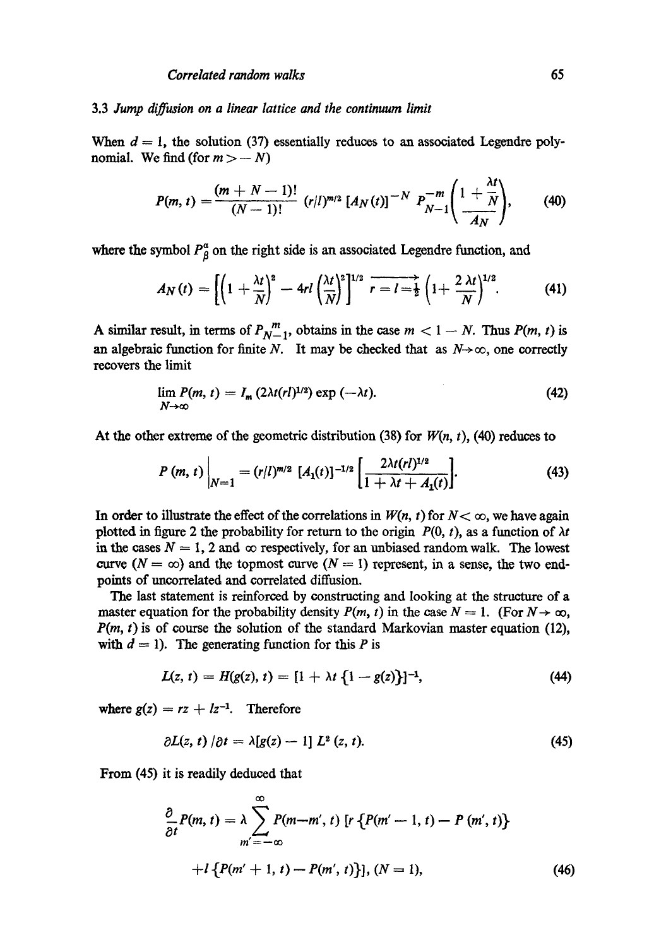## 3.3 *Jump diffusion on a linear lattice and the continuum limit*

When  $d = 1$ , the solution (37) essentially reduces to an associated Legendre polynomial. We find (for  $m > -N$ )

$$
P(m, t) = \frac{(m + N - 1)!}{(N - 1)!} (r/l)^{m/2} [A_N(t)]^{-N} P_{N-1}^{-m} \left( \frac{1 + \frac{\lambda t}{N}}{A_N} \right), \qquad (40)
$$

where the symbol  $P^{\alpha}_{\beta}$  on the right side is an associated Legendre function, and

$$
A_N(t) = \left[ \left( 1 + \frac{\lambda t}{N} \right)^2 - 4rl \left( \frac{\lambda t}{N} \right)^2 \right]^{1/2} \overline{r} = l = \frac{1}{2} \left( 1 + \frac{2 \lambda t}{N} \right)^{1/2}.
$$
 (41)

A similar result, in terms of  $P_{N-1}^m$ , obtains in the case  $m < 1 - N$ . Thus  $P(m, t)$  is an algebraic function for finite N. It may be checked that as  $N \rightarrow \infty$ , one correctly recovers the limit

$$
\lim_{N \to \infty} P(m, t) = I_m (2\lambda t (r l)^{1/2}) \exp(-\lambda t). \tag{42}
$$

At the other extreme of the geometric distribution (38) for *W(n,* t), (40) reduces to

$$
P(m, t)\Big|_{N=1} = (r/l)^{m/2} \; [A_1(t)]^{-1/2} \left[ \frac{2\lambda t (r l)^{1/2}}{1 + \lambda t + A_1(t)} \right]. \tag{43}
$$

In order to illustrate the effect of the correlations in  $W(n, t)$  for  $N < \infty$ , we have again plotted in figure 2 the probability for return to the origin  $P(0, t)$ , as a function of  $\lambda t$ in the cases  $N = 1$ , 2 and  $\infty$  respectively, for an unbiased random walk. The lowest curve  $(N = \infty)$  and the topmost curve  $(N = 1)$  represent, in a sense, the two endpoints of uncorrelated and correlated diffusion.

The last statement is reinforced by constructing and looking at the structure of a master equation for the probability density  $P(m, t)$  in the case  $N = 1$ . (For  $N \rightarrow \infty$ , *P(m, t)* is of course the solution of the standard Markovian master equation (12), with  $d = 1$ ). The generating function for this P is

$$
L(z, t) = H(g(z), t) = [1 + \lambda t \{1 - g(z)\}]^{-1}, \tag{44}
$$

where  $g(z) = rz + lz^{-1}$ . Therefore

$$
\partial L(z, t) / \partial t = \lambda [g(z) - 1] L^2(z, t). \tag{45}
$$

From (45) it is readily deduced that

$$
\frac{\partial}{\partial t}P(m, t) = \lambda \sum_{m' = -\infty}^{\infty} P(m-m', t) \left[ r \left\{ P(m'-1, t) - P(m', t) \right\} + l \left\{ P(m'+1, t) - P(m', t) \right\} \right], (N = 1), \tag{46}
$$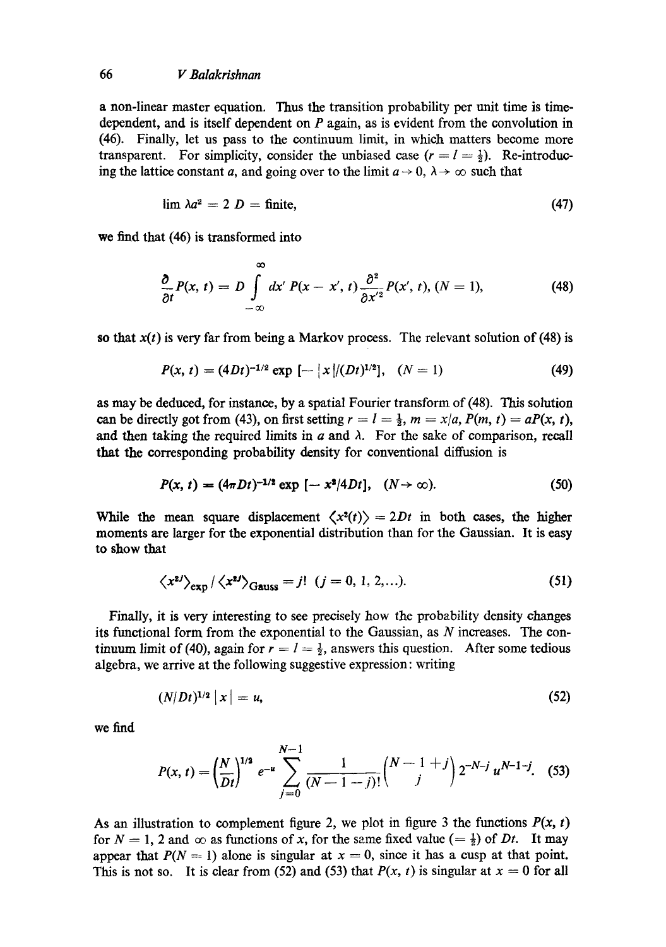a non-linear master equation. Thus the transition probability per unit time is timedependent, and is itself dependent on  $P$  again, as is evident from the convolution in (46). Finally, let us pass to the continuum limit, in which matters become more transparent. For simplicity, consider the unbiased case  $(r = l = \frac{1}{2})$ . Re-introducing the lattice constant a, and going over to the limit  $a \rightarrow 0$ ,  $\lambda \rightarrow \infty$  such that

$$
\lim_{\Delta a^2} = 2 D = \text{finite},\tag{47}
$$

we find that (46) is transformed into

$$
\frac{\partial}{\partial t}P(x, t) = D \int_{-\infty}^{\infty} dx' P(x - x', t) \frac{\partial^2}{\partial x'^2} P(x', t), (N = 1), \tag{48}
$$

so that  $x(t)$  is very far from being a Markov process. The relevant solution of  $(48)$  is

$$
P(x, t) = (4Dt)^{-1/2} \exp\left[-\left|x\right|/(Dt)^{1/2}\right], \quad (N=1)
$$
 (49)

as may be deduced, for instance, by a spatial Fourier transform of (48). This solution can be directly got from (43), on first setting  $r = l = \frac{1}{2}$ ,  $m = x/a$ ,  $P(m, t) = aP(x, t)$ , and then taking the required limits in  $a$  and  $\lambda$ . For the sake of comparison, recall that the corresponding probability density for conventional diffusion is

$$
P(x, t) = (4\pi Dt)^{-1/2} \exp[-x^2/4Dt], \quad (N \to \infty). \tag{50}
$$

While the mean square displacement  $\langle x^2(t) \rangle = 2Dt$  in both cases, the higher moments are larger for the exponential distribution than for the Gaussian. It is easy to show that

$$
\langle x^{2j} \rangle_{\text{exp}} / \langle x^{2j} \rangle_{\text{Gauss}} = j! \quad (j = 0, 1, 2, \ldots). \tag{51}
$$

Finally, it is very interesting to see precisely how the probability density changes its functional form from the exponential to the Gaussian, as N increases. The continuum limit of (40), again for  $r = l = \frac{1}{2}$ , answers this question. After some tedious algebra, we arrive at the following suggestive expression: writing

$$
(N/Dt)^{1/2} |x| = u,
$$
 (52)

we find

$$
P(x,t) = \left(\frac{N}{Dt}\right)^{1/2} e^{-u} \sum_{j=0}^{N-1} \frac{1}{(N-1-j)!} {N-1+j \choose j} 2^{-N-j} u^{N-1-j}.
$$
 (53)

As an illustration to complement figure 2, we plot in figure 3 the functions  $P(x, t)$ for  $N = 1$ , 2 and  $\infty$  as functions of x, for the same fixed value (=  $\frac{1}{2}$ ) of *Dt*. It may appear that  $P(N = 1)$  alone is singular at  $x = 0$ , since it has a cusp at that point. This is not so. It is clear from (52) and (53) that  $P(x, t)$  is singular at  $x = 0$  for all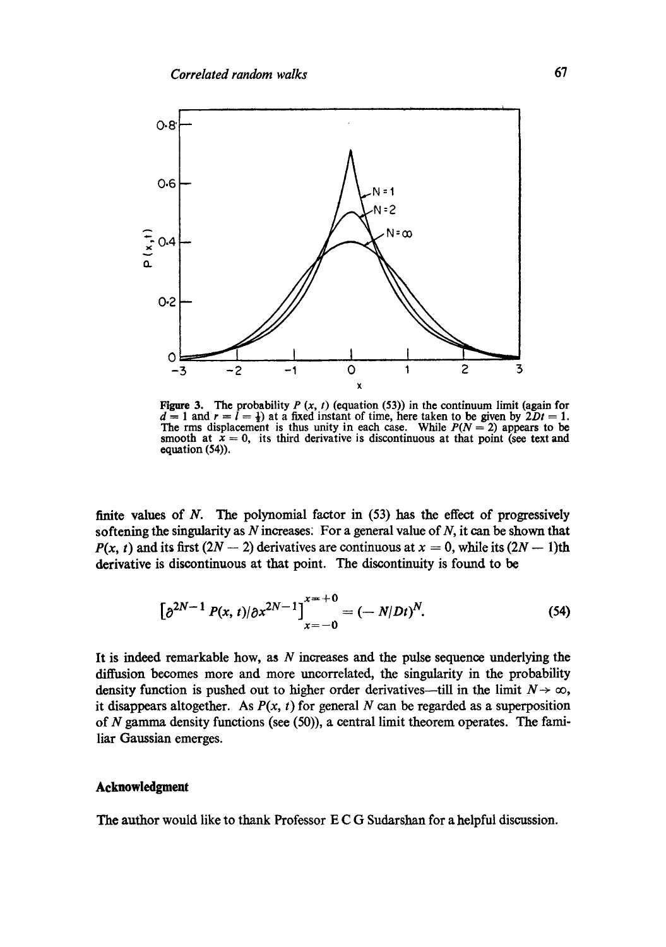

Figure 3. The probability  $P(x, t)$  (equation (53)) in the continuum limit (again for  $d = 1$  and  $r = l = \frac{1}{2}$  at a fixed instant of time, here taken to be given by  $2Dt = 1$ . The rms displacement is thus unity in each case. While  $P(N = 2)$  appears to be smooth at  $\bar{x} = 0$ , its third derivative is discontinuous at that point (see text and equation (54)).

finite values of  $N$ . The polynomial factor in  $(53)$  has the effect of progressively softening the singularity as  $N$  increases. For a general value of  $N$ , it can be shown that  $P(x, t)$  and its first  $(2N - 2)$  derivatives are continuous at  $x = 0$ , while its  $(2N - 1)$ th derivative is discontinuous at that point. The discontinuity is found to be

$$
\left[\partial^{2N-1} P(x,t)/\partial x^{2N-1}\right]_{x=-0}^{x=-0} = (-N/Dt)^N.
$$
 (54)

It is indeed remarkable how, as  $N$  increases and the pulse sequence underlying the diffusion becomes more and more uncorrelated, the singularity in the probability density function is pushed out to higher order derivatives—till in the limit  $N \to \infty$ , it disappears altogether. As  $P(x, t)$  for general N can be regarded as a superposition of N gamma density functions (see (50)), a central limit theorem operates. The familiar Gaussian emerges.

#### **Acknowledgment**

The author would like to thank Professor E C G Sudarshan for a helpful discussion.